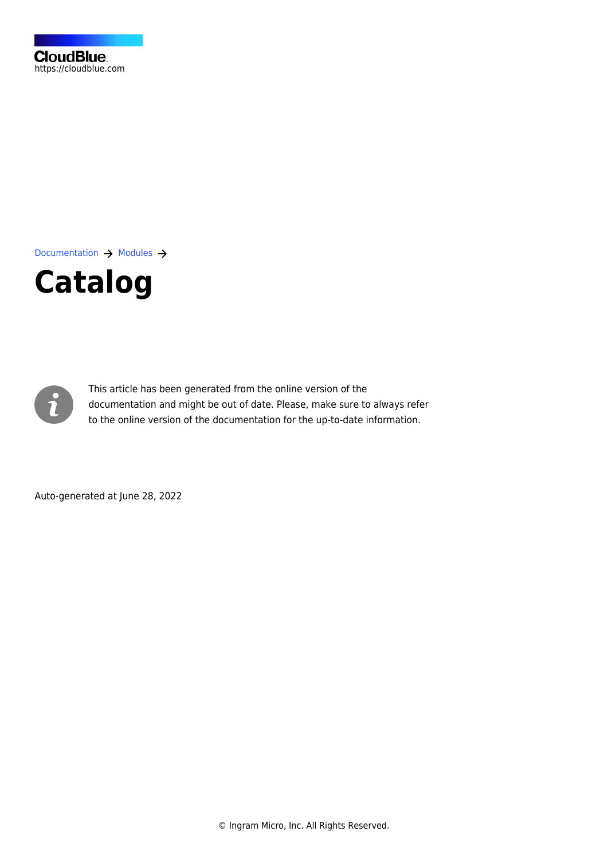[Documentation](https://connect.cloudblue.com/documentation)  $\rightarrow$  [Modules](https://connect.cloudblue.com/community/modules/)  $\rightarrow$ 





This article has been generated from the online version of the documentation and might be out of date. Please, make sure to always refer to the online version of the documentation for the up-to-date information.

Auto-generated at June 28, 2022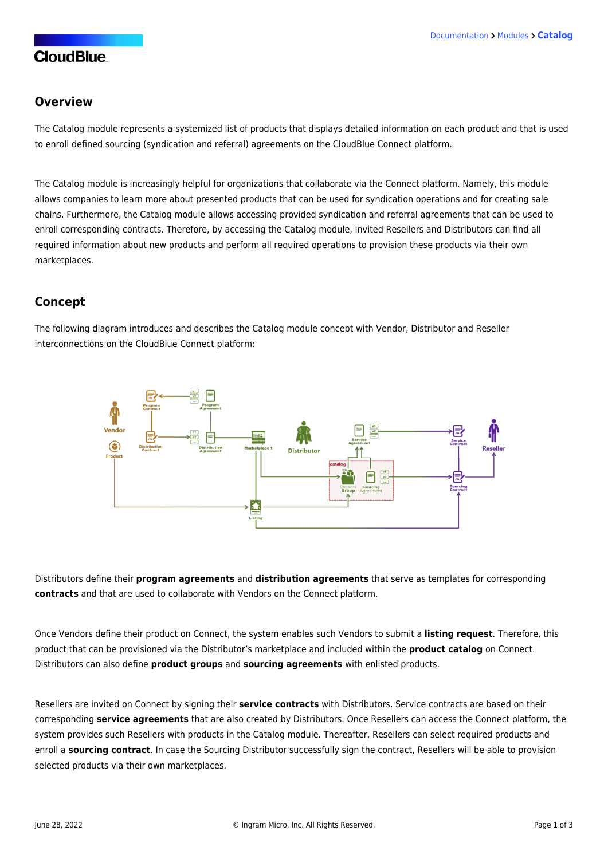## **CloudBlue**

#### **Overview**

The Catalog module represents a systemized list of products that displays detailed information on each product and that is used to enroll defined sourcing (syndication and referral) agreements on the CloudBlue Connect platform.

The Catalog module is increasingly helpful for organizations that collaborate via the Connect platform. Namely, this module allows companies to learn more about presented products that can be used for [syndication](https://connect.cloudblue.com/community/modules/partners/agreements/syndication-agreements/#What_is_Syndication?) operations and for creating sale chains. Furthermore, the Catalog module allows accessing provided syndication and referral agreements that can be used to enroll corresponding contracts. Therefore, by accessing the Catalog module, invited Resellers and Distributors can find all required information about new products and perform all required operations to provision these products via their own marketplaces.

## **Concept**

The following diagram introduces and describes the Catalog module concept with Vendor, Distributor and Reseller interconnections on the CloudBlue Connect platform:



Distributors define their **program agreements** and **distribution agreements** that serve as templates for corresponding **contracts** and that are used to collaborate with Vendors on the Connect platform.

Once Vendors define their product on Connect, the system enables such Vendors to submit a **listing request**. Therefore, this product that can be provisioned via the Distributor's marketplace and included within the **product catalog** on Connect. Distributors can also define **product groups** and **sourcing agreements** with enlisted products.

Resellers are invited on Connect by signing their **service contracts** with Distributors. Service contracts are based on their corresponding **service agreements** that are also created by Distributors. Once Resellers can access the Connect platform, the system provides such Resellers with products in the Catalog module. Thereafter, Resellers can select required products and enroll a **sourcing contract**. In case the Sourcing Distributor successfully sign the contract, Resellers will be able to provision selected products via their own marketplaces.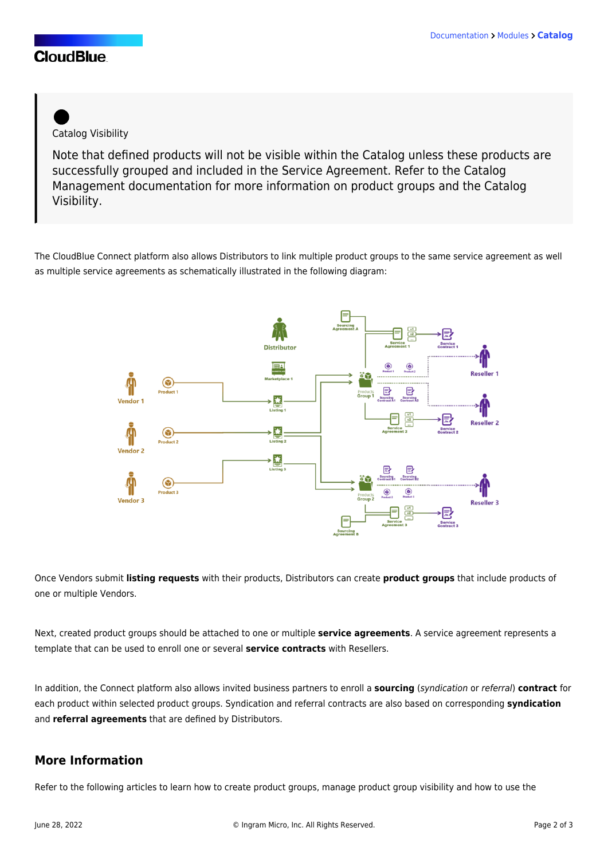## **CloudBlue**



Note that defined products will not be visible within the Catalog unless these products are successfully grouped and included in the Service Agreement. Refer to the [Catalog](https://connect.cloudblue.com/community/modules/new-catalog/management/) [Management](https://connect.cloudblue.com/community/modules/new-catalog/management/) documentation for more information on product groups and the Catalog Visibility.

The CloudBlue Connect platform also allows Distributors to link multiple product groups to the same service agreement as well as multiple service agreements as schematically illustrated in the following diagram:



Once Vendors submit **listing requests** with their products, Distributors can create **product groups** that include products of one or multiple Vendors.

Next, created product groups should be attached to one or multiple **service agreements**. A service agreement represents a template that can be used to enroll one or several **service contracts** with Resellers.

In addition, the Connect platform also allows invited business partners to enroll a **sourcing** (syndication or referral) **contract** for each product within selected product groups. Syndication and referral contracts are also based on corresponding **syndication** and **referral agreements** that are defined by Distributors.

#### **More Information**

Refer to the following articles to learn how to create product groups, manage product group visibility and how to use the